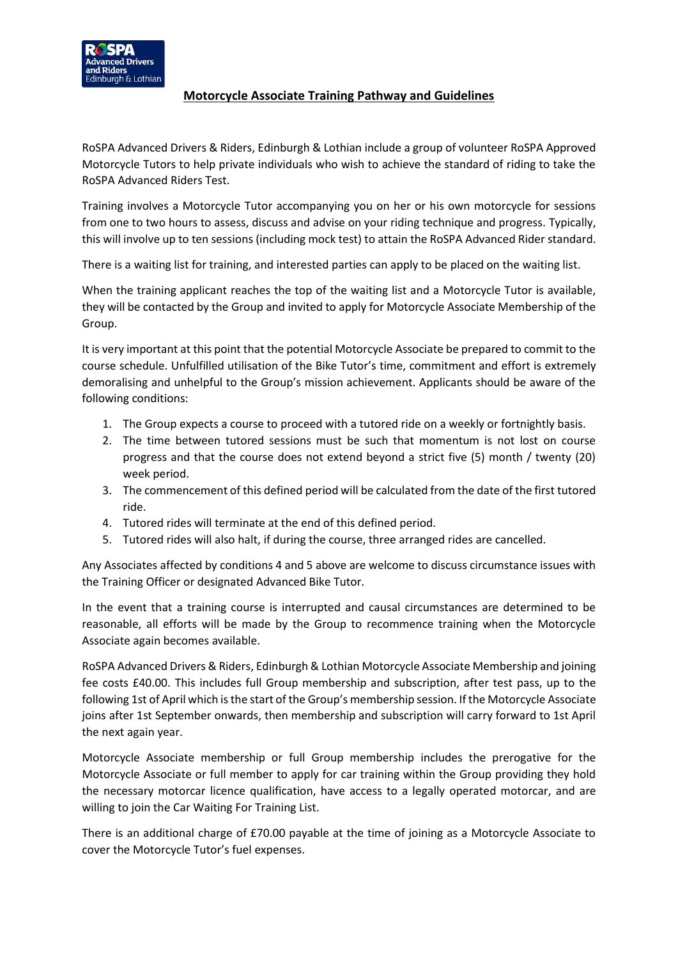## **Motorcycle Associate Training Pathway and Guidelines**

RoSPA Advanced Drivers & Riders, Edinburgh & Lothian include a group of volunteer RoSPA Approved Motorcycle Tutors to help private individuals who wish to achieve the standard of riding to take the RoSPA Advanced Riders Test.

Training involves a Motorcycle Tutor accompanying you on her or his own motorcycle for sessions from one to two hours to assess, discuss and advise on your riding technique and progress. Typically, this will involve up to ten sessions (including mock test) to attain the RoSPA Advanced Rider standard.

There is a waiting list for training, and interested parties can apply to be placed on the waiting list.

When the training applicant reaches the top of the waiting list and a Motorcycle Tutor is available, they will be contacted by the Group and invited to apply for Motorcycle Associate Membership of the Group.

It is very important at this point that the potential Motorcycle Associate be prepared to commit to the course schedule. Unfulfilled utilisation of the Bike Tutor's time, commitment and effort is extremely demoralising and unhelpful to the Group's mission achievement. Applicants should be aware of the following conditions:

- 1. The Group expects a course to proceed with a tutored ride on a weekly or fortnightly basis.
- 2. The time between tutored sessions must be such that momentum is not lost on course progress and that the course does not extend beyond a strict five (5) month / twenty (20) week period.
- 3. The commencement of this defined period will be calculated from the date of the first tutored ride.
- 4. Tutored rides will terminate at the end of this defined period.
- 5. Tutored rides will also halt, if during the course, three arranged rides are cancelled.

Any Associates affected by conditions 4 and 5 above are welcome to discuss circumstance issues with the Training Officer or designated Advanced Bike Tutor.

In the event that a training course is interrupted and causal circumstances are determined to be reasonable, all efforts will be made by the Group to recommence training when the Motorcycle Associate again becomes available.

RoSPA Advanced Drivers & Riders, Edinburgh & Lothian Motorcycle Associate Membership and joining fee costs £40.00. This includes full Group membership and subscription, after test pass, up to the following 1st of April which is the start of the Group's membership session. If the Motorcycle Associate joins after 1st September onwards, then membership and subscription will carry forward to 1st April the next again year.

Motorcycle Associate membership or full Group membership includes the prerogative for the Motorcycle Associate or full member to apply for car training within the Group providing they hold the necessary motorcar licence qualification, have access to a legally operated motorcar, and are willing to join the Car Waiting For Training List.

There is an additional charge of £70.00 payable at the time of joining as a Motorcycle Associate to cover the Motorcycle Tutor's fuel expenses.